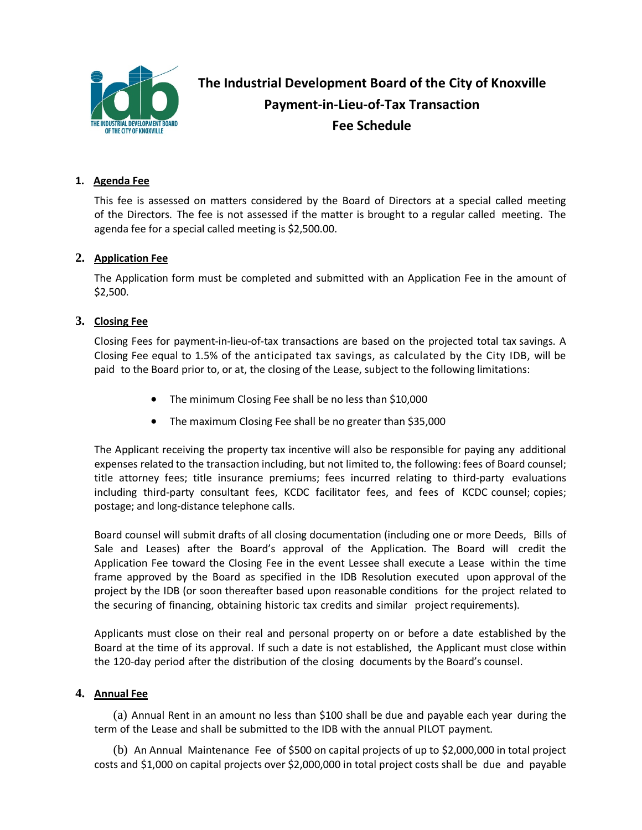

**The Industrial Development Board of the City of Knoxville Payment-in-Lieu-of-Tax Transaction Fee Schedule**

### **1. Agenda Fee**

This fee is assessed on matters considered by the Board of Directors at a special called meeting of the Directors. The fee is not assessed if the matter is brought to a regular called meeting. The agenda fee for a special called meeting is \$2,500.00.

#### **2. Application Fee**

The Application form must be completed and submitted with an Application Fee in the amount of \$2,500.

#### **3. Closing Fee**

Closing Fees for payment-in-lieu-of-tax transactions are based on the projected total tax savings. A Closing Fee equal to 1.5% of the anticipated tax savings, as calculated by the City IDB, will be paid to the Board prior to, or at, the closing of the Lease, subject to the following limitations:

- The minimum Closing Fee shall be no less than \$10,000
- The maximum Closing Fee shall be no greater than \$35,000

The Applicant receiving the property tax incentive will also be responsible for paying any additional expenses related to the transaction including, but not limited to, the following: fees of Board counsel; title attorney fees; title insurance premiums; fees incurred relating to third-party evaluations including third-party consultant fees, KCDC facilitator fees, and fees of KCDC counsel; copies; postage; and long-distance telephone calls.

Board counsel will submit drafts of all closing documentation (including one or more Deeds, Bills of Sale and Leases) after the Board's approval of the Application. The Board will credit the Application Fee toward the Closing Fee in the event Lessee shall execute a Lease within the time frame approved by the Board as specified in the IDB Resolution executed upon approval of the project by the IDB (or soon thereafter based upon reasonable conditions for the project related to the securing of financing, obtaining historic tax credits and similar project requirements).

Applicants must close on their real and personal property on or before a date established by the Board at the time of its approval. If such a date is not established, the Applicant must close within the 120-day period after the distribution of the closing documents by the Board's counsel.

### **4. Annual Fee**

(a) Annual Rent in an amount no less than \$100 shall be due and payable each year during the term of the Lease and shall be submitted to the IDB with the annual PILOT payment.

(b) An Annual Maintenance Fee of \$500 on capital projects of up to \$2,000,000 in total project costs and \$1,000 on capital projects over \$2,000,000 in total project costs shall be due and payable